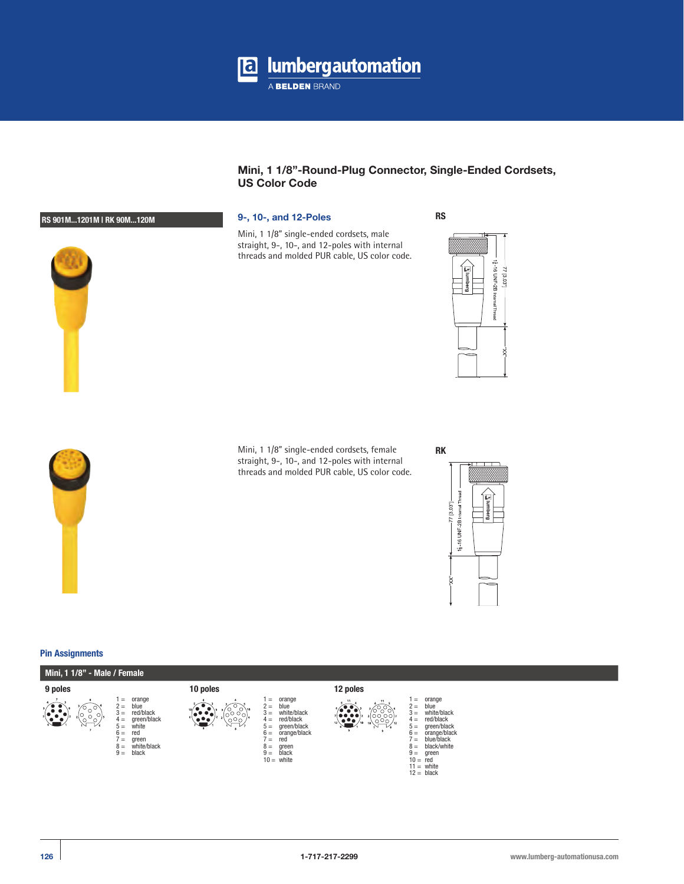

# **Mini, 1 1/8"-Round-Plug Connector, Single-Ended Cordsets, US Color Code**

Mini, 1 1/8" single-ended cordsets, male straight, 9-, 10-, and 12-poles with internal threads and molded PUR cable, US color code. **RS**





Mini, 1 1/8" single-ended cordsets, female straight, 9-, 10-, and 12-poles with internal threads and molded PUR cable, US color code.



### **Pin Assignments**